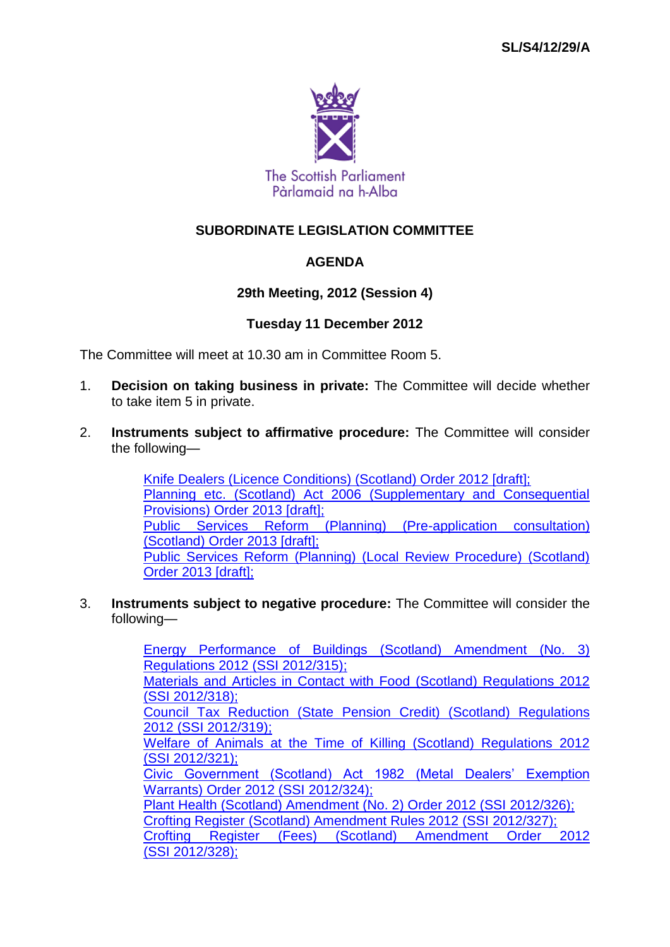

# **SUBORDINATE LEGISLATION COMMITTEE**

# **AGENDA**

# **29th Meeting, 2012 (Session 4)**

# **Tuesday 11 December 2012**

The Committee will meet at 10.30 am in Committee Room 5.

- 1. **Decision on taking business in private:** The Committee will decide whether to take item 5 in private.
- 2. **Instruments subject to affirmative procedure:** The Committee will consider the following—

[Knife Dealers \(Licence Conditions\) \(Scotland\) Order 2012 \[draft\];](http://www.legislation.gov.uk/sdsi/2012/9780111018637/contents) Planning etc. (Scotland) Act 2006 (Supplementary and Consequential [Provisions\) Order 2013 \[draft\];](http://www.legislation.gov.uk/sdsi/2013/9780111018644/contents) [Public Services Reform \(Planning\) \(Pre-application consultation\)](http://www.legislation.gov.uk/sdsi/2013/9780111018668/contents)  [\(Scotland\) Order 2013 \[draft\];](http://www.legislation.gov.uk/sdsi/2013/9780111018668/contents) [Public Services Reform \(Planning\) \(Local Review Procedure\) \(Scotland\)](http://www.legislation.gov.uk/sdsi/2013/9780111018651/contents)  [Order 2013 \[draft\];](http://www.legislation.gov.uk/sdsi/2013/9780111018651/contents)

3. **Instruments subject to negative procedure:** The Committee will consider the following—

> [Energy Performance of Buildings \(Scotland\) Amendment \(No. 3\)](http://www.legislation.gov.uk/ssi/2012/315/contents/made)  [Regulations 2012 \(SSI](http://www.legislation.gov.uk/ssi/2012/315/contents/made) 2012/315); [Materials and Articles in Contact with Food \(Scotland\) Regulations 2012](http://www.legislation.gov.uk/ssi/2012/318/contents/made)  (SSI [2012/318\);](http://www.legislation.gov.uk/ssi/2012/318/contents/made) [Council Tax Reduction \(State Pension Credit\) \(Scotland\) Regulations](http://www.legislation.gov.uk/ssi/2012/319/contents/made)  2012 (SSI [2012/319\);](http://www.legislation.gov.uk/ssi/2012/319/contents/made) [Welfare of Animals at the Time of Killing \(Scotland\) Regulations 2012](http://www.legislation.gov.uk/ssi/2012/321/contents/made)  (SSI [2012/321\);](http://www.legislation.gov.uk/ssi/2012/321/contents/made) [Civic Government \(Scotland\) Act 1982 \(Metal Dealers' Exemption](http://www.legislation.gov.uk/ssi/2012/324/contents/made)  [Warrants\) Order 2012 \(SSI](http://www.legislation.gov.uk/ssi/2012/324/contents/made) 2012/324); [Plant Health \(Scotland\) Amendment \(No. 2\) Order 2012 \(SSI](http://www.legislation.gov.uk/ssi/2012/326/contents/made) 2012/326); [Crofting Register \(Scotland\) Amendment Rules 2012 \(SSI](http://www.legislation.gov.uk/ssi/2012/327/contents/made) 2012/327); [Crofting Register \(Fees\) \(Scotland\) Amendment Order 2012](http://www.legislation.gov.uk/ssi/2012/328/contents/made)  (SSI [2012/328\);](http://www.legislation.gov.uk/ssi/2012/328/contents/made)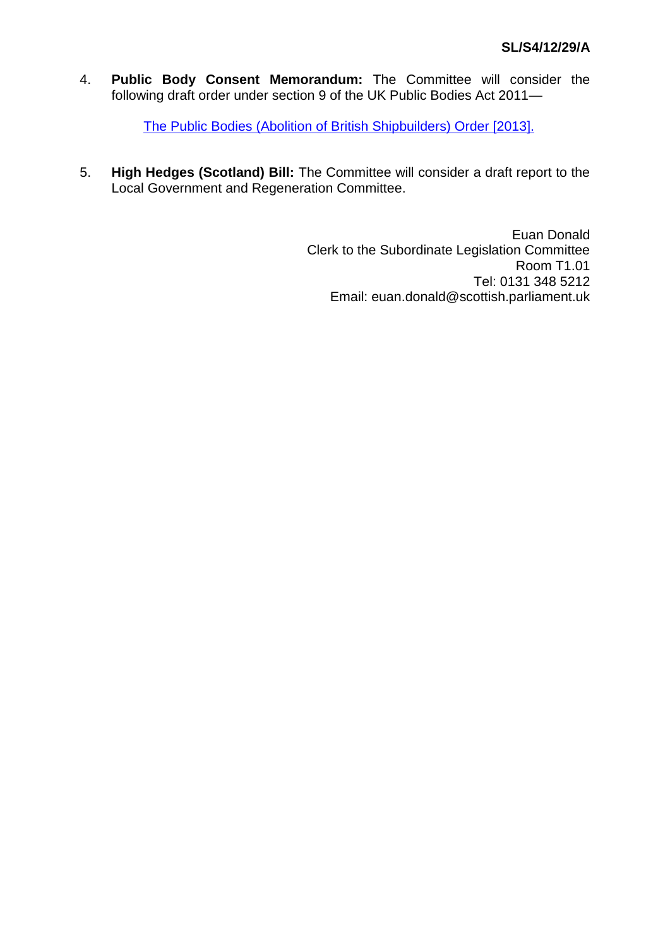4. **Public Body Consent Memorandum:** The Committee will consider the following draft order under section 9 of the UK Public Bodies Act 2011—

[The Public Bodies \(Abolition of British Shipbuilders\) Order \[2013\].](http://www.scottish.parliament.uk/LegislativeConsentMemoranda/PBCM_Abolition_of_British_Shipbuilders.pdf)

5. **High Hedges (Scotland) Bill:** The Committee will consider a draft report to the Local Government and Regeneration Committee.

> Euan Donald Clerk to the Subordinate Legislation Committee Room T1.01 Tel: 0131 348 5212 Email: euan.donald@scottish.parliament.uk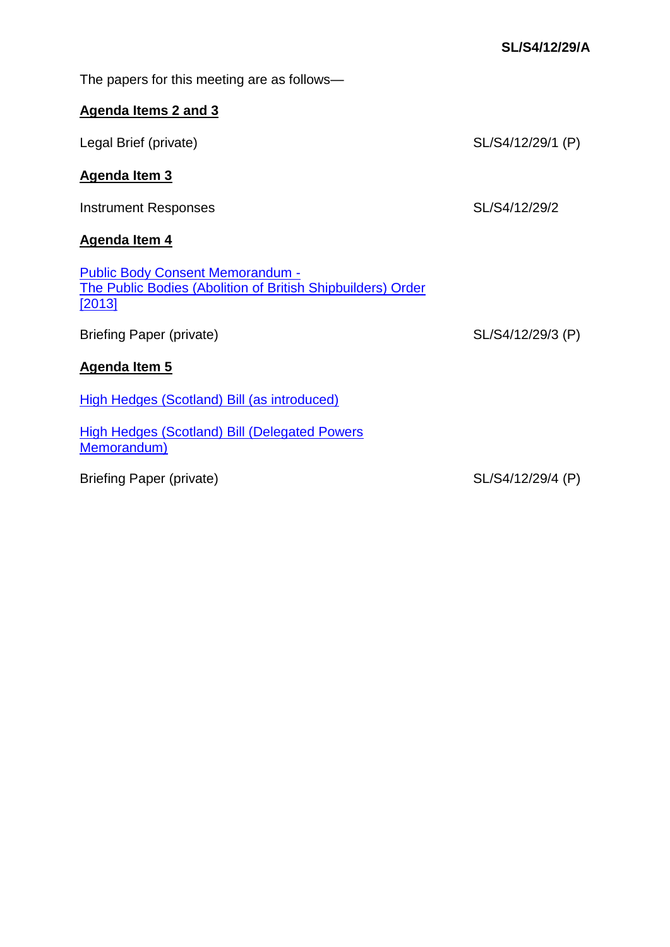| The papers for this meeting are as follows—                                                                             |                   |
|-------------------------------------------------------------------------------------------------------------------------|-------------------|
| Agenda Items 2 and 3                                                                                                    |                   |
| Legal Brief (private)                                                                                                   | SL/S4/12/29/1 (P) |
| <b>Agenda Item 3</b>                                                                                                    |                   |
| Instrument Responses                                                                                                    | SL/S4/12/29/2     |
| <b>Agenda Item 4</b>                                                                                                    |                   |
| <b>Public Body Consent Memorandum -</b><br>The Public Bodies (Abolition of British Shipbuilders) Order<br><u>[2013]</u> |                   |
| <b>Briefing Paper (private)</b>                                                                                         | SL/S4/12/29/3 (P) |
| <b>Agenda Item 5</b>                                                                                                    |                   |
| <b>High Hedges (Scotland) Bill (as introduced)</b>                                                                      |                   |
| <b>High Hedges (Scotland) Bill (Delegated Powers</b><br><b>Memorandum)</b>                                              |                   |
| <b>Briefing Paper (private)</b>                                                                                         | SL/S4/12/29/4 (P) |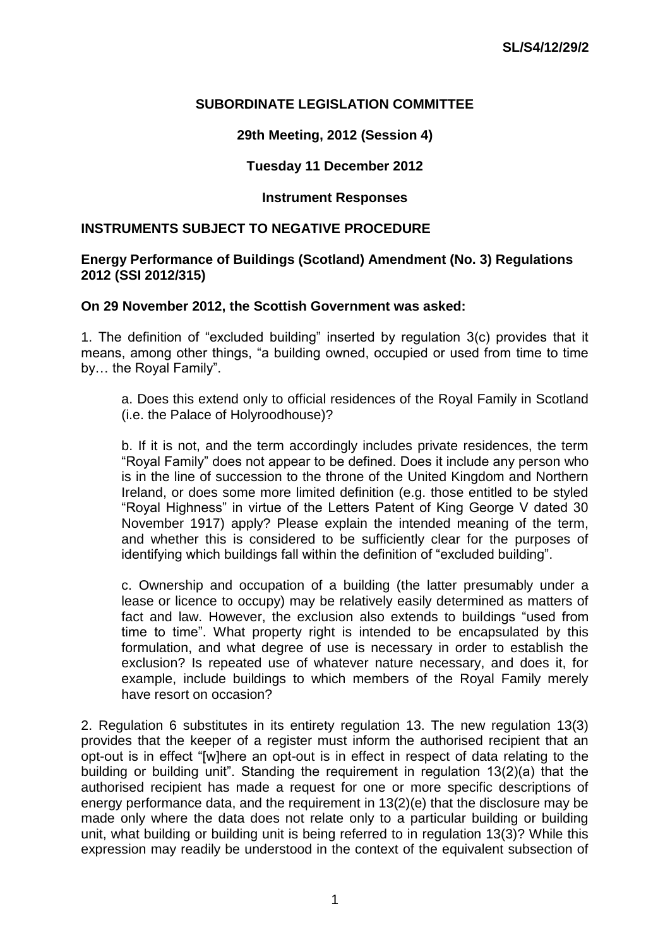### **SUBORDINATE LEGISLATION COMMITTEE**

# **29th Meeting, 2012 (Session 4)**

# **Tuesday 11 December 2012**

### **Instrument Responses**

#### **INSTRUMENTS SUBJECT TO NEGATIVE PROCEDURE**

#### **Energy Performance of Buildings (Scotland) Amendment (No. 3) Regulations 2012 (SSI 2012/315)**

#### **On 29 November 2012, the Scottish Government was asked:**

1. The definition of "excluded building" inserted by regulation 3(c) provides that it means, among other things, "a building owned, occupied or used from time to time by… the Royal Family".

a. Does this extend only to official residences of the Royal Family in Scotland (i.e. the Palace of Holyroodhouse)?

b. If it is not, and the term accordingly includes private residences, the term "Royal Family" does not appear to be defined. Does it include any person who is in the line of succession to the throne of the United Kingdom and Northern Ireland, or does some more limited definition (e.g. those entitled to be styled "Royal Highness" in virtue of the Letters Patent of King George V dated 30 November 1917) apply? Please explain the intended meaning of the term, and whether this is considered to be sufficiently clear for the purposes of identifying which buildings fall within the definition of "excluded building".

c. Ownership and occupation of a building (the latter presumably under a lease or licence to occupy) may be relatively easily determined as matters of fact and law. However, the exclusion also extends to buildings "used from time to time". What property right is intended to be encapsulated by this formulation, and what degree of use is necessary in order to establish the exclusion? Is repeated use of whatever nature necessary, and does it, for example, include buildings to which members of the Royal Family merely have resort on occasion?

2. Regulation 6 substitutes in its entirety regulation 13. The new regulation 13(3) provides that the keeper of a register must inform the authorised recipient that an opt-out is in effect "[w]here an opt-out is in effect in respect of data relating to the building or building unit". Standing the requirement in regulation 13(2)(a) that the authorised recipient has made a request for one or more specific descriptions of energy performance data, and the requirement in 13(2)(e) that the disclosure may be made only where the data does not relate only to a particular building or building unit, what building or building unit is being referred to in regulation 13(3)? While this expression may readily be understood in the context of the equivalent subsection of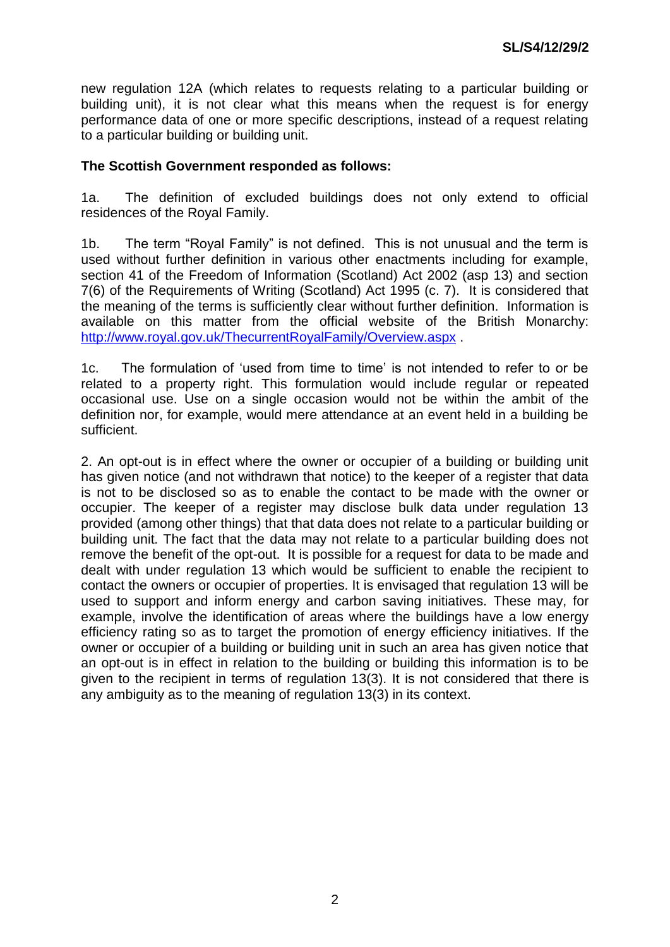new regulation 12A (which relates to requests relating to a particular building or building unit), it is not clear what this means when the request is for energy performance data of one or more specific descriptions, instead of a request relating to a particular building or building unit.

### **The Scottish Government responded as follows:**

1a. The definition of excluded buildings does not only extend to official residences of the Royal Family.

1b. The term "Royal Family" is not defined. This is not unusual and the term is used without further definition in various other enactments including for example, section 41 of the Freedom of Information (Scotland) Act 2002 (asp 13) and section 7(6) of the Requirements of Writing (Scotland) Act 1995 (c. 7). It is considered that the meaning of the terms is sufficiently clear without further definition. Information is available on this matter from the official website of the British Monarchy: http://www.roval.gov.uk/ThecurrentRovalFamily/Overview.aspx .

1c. The formulation of 'used from time to time' is not intended to refer to or be related to a property right. This formulation would include regular or repeated occasional use. Use on a single occasion would not be within the ambit of the definition nor, for example, would mere attendance at an event held in a building be sufficient.

2. An opt-out is in effect where the owner or occupier of a building or building unit has given notice (and not withdrawn that notice) to the keeper of a register that data is not to be disclosed so as to enable the contact to be made with the owner or occupier. The keeper of a register may disclose bulk data under regulation 13 provided (among other things) that that data does not relate to a particular building or building unit. The fact that the data may not relate to a particular building does not remove the benefit of the opt-out. It is possible for a request for data to be made and dealt with under regulation 13 which would be sufficient to enable the recipient to contact the owners or occupier of properties. It is envisaged that regulation 13 will be used to support and inform energy and carbon saving initiatives. These may, for example, involve the identification of areas where the buildings have a low energy efficiency rating so as to target the promotion of energy efficiency initiatives. If the owner or occupier of a building or building unit in such an area has given notice that an opt-out is in effect in relation to the building or building this information is to be given to the recipient in terms of regulation 13(3). It is not considered that there is any ambiguity as to the meaning of regulation 13(3) in its context.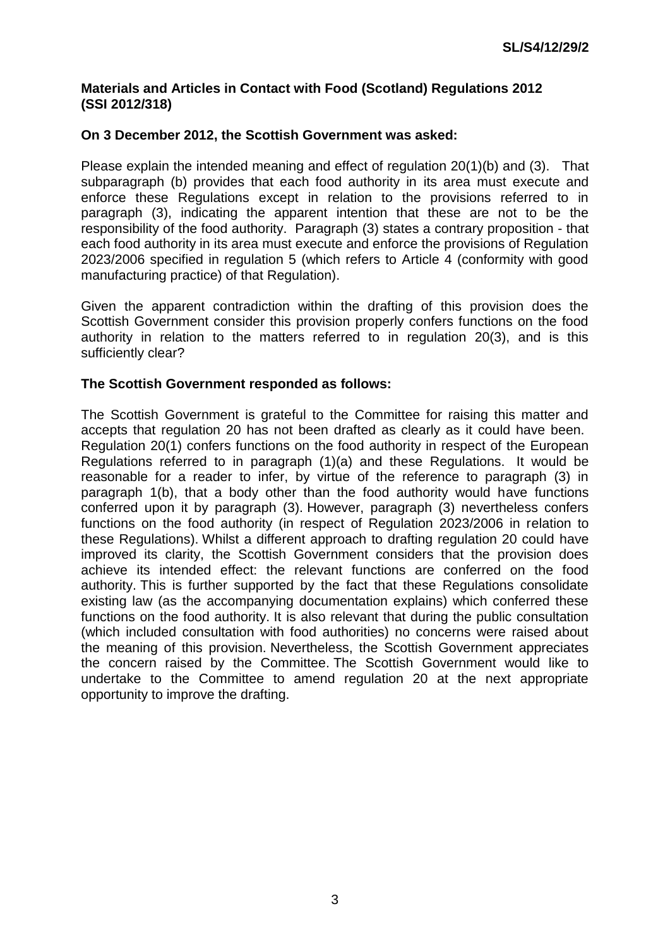### **Materials and Articles in Contact with Food (Scotland) Regulations 2012 (SSI 2012/318)**

### **On 3 December 2012, the Scottish Government was asked:**

Please explain the intended meaning and effect of regulation 20(1)(b) and (3). That subparagraph (b) provides that each food authority in its area must execute and enforce these Regulations except in relation to the provisions referred to in paragraph (3), indicating the apparent intention that these are not to be the responsibility of the food authority. Paragraph (3) states a contrary proposition - that each food authority in its area must execute and enforce the provisions of Regulation 2023/2006 specified in regulation 5 (which refers to Article 4 (conformity with good manufacturing practice) of that Regulation).

Given the apparent contradiction within the drafting of this provision does the Scottish Government consider this provision properly confers functions on the food authority in relation to the matters referred to in regulation 20(3), and is this sufficiently clear?

### **The Scottish Government responded as follows:**

The Scottish Government is grateful to the Committee for raising this matter and accepts that regulation 20 has not been drafted as clearly as it could have been. Regulation 20(1) confers functions on the food authority in respect of the European Regulations referred to in paragraph (1)(a) and these Regulations. It would be reasonable for a reader to infer, by virtue of the reference to paragraph (3) in paragraph 1(b), that a body other than the food authority would have functions conferred upon it by paragraph (3). However, paragraph (3) nevertheless confers functions on the food authority (in respect of Regulation 2023/2006 in relation to these Regulations). Whilst a different approach to drafting regulation 20 could have improved its clarity, the Scottish Government considers that the provision does achieve its intended effect: the relevant functions are conferred on the food authority. This is further supported by the fact that these Regulations consolidate existing law (as the accompanying documentation explains) which conferred these functions on the food authority. It is also relevant that during the public consultation (which included consultation with food authorities) no concerns were raised about the meaning of this provision. Nevertheless, the Scottish Government appreciates the concern raised by the Committee. The Scottish Government would like to undertake to the Committee to amend regulation 20 at the next appropriate opportunity to improve the drafting.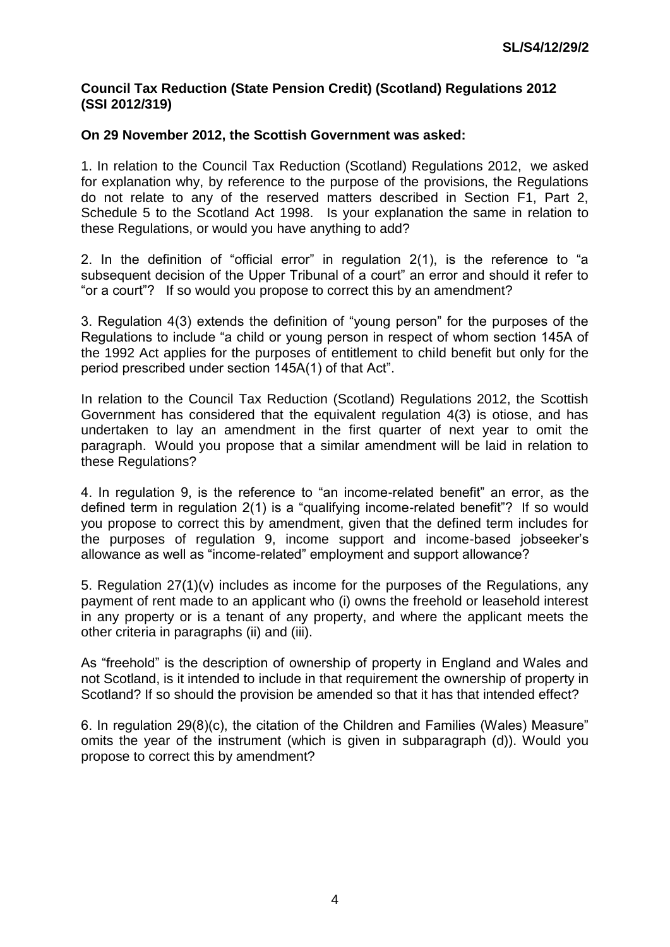### **Council Tax Reduction (State Pension Credit) (Scotland) Regulations 2012 (SSI 2012/319)**

# **On 29 November 2012, the Scottish Government was asked:**

1. In relation to the Council Tax Reduction (Scotland) Regulations 2012, we asked for explanation why, by reference to the purpose of the provisions, the Regulations do not relate to any of the reserved matters described in Section F1, Part 2, Schedule 5 to the Scotland Act 1998. Is your explanation the same in relation to these Regulations, or would you have anything to add?

2. In the definition of "official error" in regulation 2(1), is the reference to "a subsequent decision of the Upper Tribunal of a court" an error and should it refer to "or a court"? If so would you propose to correct this by an amendment?

3. Regulation 4(3) extends the definition of "young person" for the purposes of the Regulations to include "a child or young person in respect of whom section 145A of the 1992 Act applies for the purposes of entitlement to child benefit but only for the period prescribed under section 145A(1) of that Act".

In relation to the Council Tax Reduction (Scotland) Regulations 2012, the Scottish Government has considered that the equivalent regulation 4(3) is otiose, and has undertaken to lay an amendment in the first quarter of next year to omit the paragraph. Would you propose that a similar amendment will be laid in relation to these Regulations?

4. In regulation 9, is the reference to "an income-related benefit" an error, as the defined term in regulation 2(1) is a "qualifying income-related benefit"? If so would you propose to correct this by amendment, given that the defined term includes for the purposes of regulation 9, income support and income-based jobseeker's allowance as well as "income-related" employment and support allowance?

5. Regulation 27(1)(v) includes as income for the purposes of the Regulations, any payment of rent made to an applicant who (i) owns the freehold or leasehold interest in any property or is a tenant of any property, and where the applicant meets the other criteria in paragraphs (ii) and (iii).

As "freehold" is the description of ownership of property in England and Wales and not Scotland, is it intended to include in that requirement the ownership of property in Scotland? If so should the provision be amended so that it has that intended effect?

6. In regulation 29(8)(c), the citation of the Children and Families (Wales) Measure" omits the year of the instrument (which is given in subparagraph (d)). Would you propose to correct this by amendment?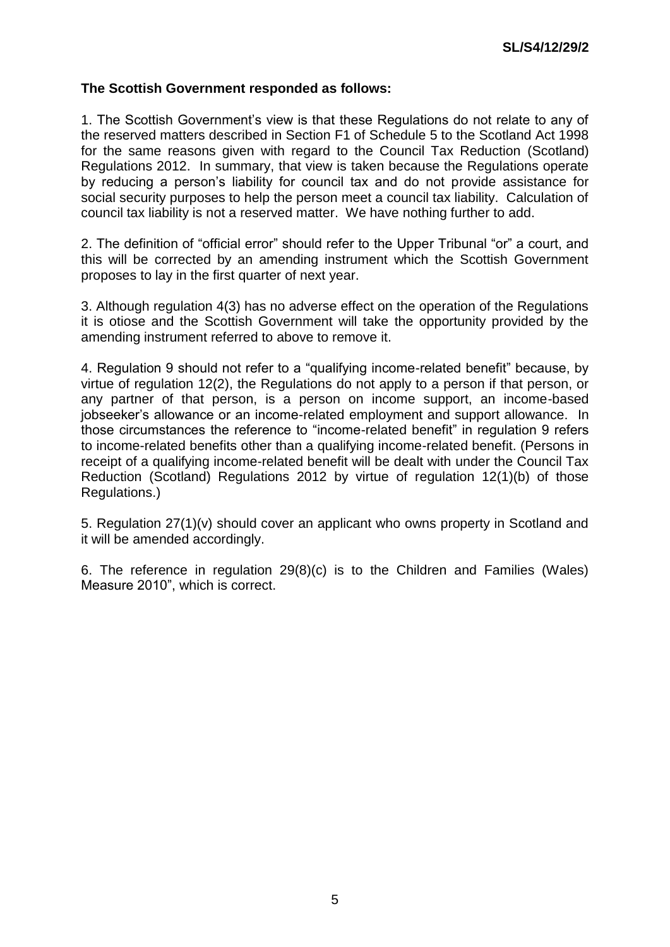### **The Scottish Government responded as follows:**

1. The Scottish Government's view is that these Regulations do not relate to any of the reserved matters described in Section F1 of Schedule 5 to the Scotland Act 1998 for the same reasons given with regard to the Council Tax Reduction (Scotland) Regulations 2012. In summary, that view is taken because the Regulations operate by reducing a person's liability for council tax and do not provide assistance for social security purposes to help the person meet a council tax liability. Calculation of council tax liability is not a reserved matter. We have nothing further to add.

2. The definition of "official error" should refer to the Upper Tribunal "or" a court, and this will be corrected by an amending instrument which the Scottish Government proposes to lay in the first quarter of next year.

3. Although regulation 4(3) has no adverse effect on the operation of the Regulations it is otiose and the Scottish Government will take the opportunity provided by the amending instrument referred to above to remove it.

4. Regulation 9 should not refer to a "qualifying income-related benefit" because, by virtue of regulation 12(2), the Regulations do not apply to a person if that person, or any partner of that person, is a person on income support, an income-based iobseeker's allowance or an income-related employment and support allowance. In those circumstances the reference to "income-related benefit" in regulation 9 refers to income-related benefits other than a qualifying income-related benefit. (Persons in receipt of a qualifying income-related benefit will be dealt with under the Council Tax Reduction (Scotland) Regulations 2012 by virtue of regulation 12(1)(b) of those Regulations.)

5. Regulation 27(1)(v) should cover an applicant who owns property in Scotland and it will be amended accordingly.

6. The reference in regulation 29(8)(c) is to the Children and Families (Wales) Measure 2010", which is correct.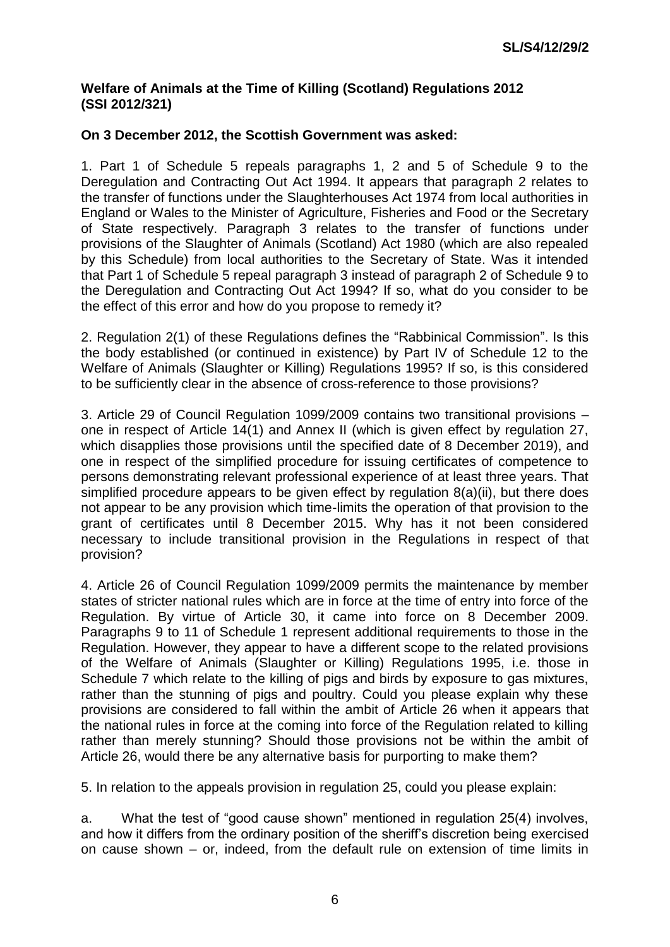### **Welfare of Animals at the Time of Killing (Scotland) Regulations 2012 (SSI 2012/321)**

# **On 3 December 2012, the Scottish Government was asked:**

1. Part 1 of Schedule 5 repeals paragraphs 1, 2 and 5 of Schedule 9 to the Deregulation and Contracting Out Act 1994. It appears that paragraph 2 relates to the transfer of functions under the Slaughterhouses Act 1974 from local authorities in England or Wales to the Minister of Agriculture, Fisheries and Food or the Secretary of State respectively. Paragraph 3 relates to the transfer of functions under provisions of the Slaughter of Animals (Scotland) Act 1980 (which are also repealed by this Schedule) from local authorities to the Secretary of State. Was it intended that Part 1 of Schedule 5 repeal paragraph 3 instead of paragraph 2 of Schedule 9 to the Deregulation and Contracting Out Act 1994? If so, what do you consider to be the effect of this error and how do you propose to remedy it?

2. Regulation 2(1) of these Regulations defines the "Rabbinical Commission". Is this the body established (or continued in existence) by Part IV of Schedule 12 to the Welfare of Animals (Slaughter or Killing) Regulations 1995? If so, is this considered to be sufficiently clear in the absence of cross-reference to those provisions?

3. Article 29 of Council Regulation 1099/2009 contains two transitional provisions – one in respect of Article 14(1) and Annex II (which is given effect by regulation 27, which disapplies those provisions until the specified date of 8 December 2019), and one in respect of the simplified procedure for issuing certificates of competence to persons demonstrating relevant professional experience of at least three years. That simplified procedure appears to be given effect by regulation 8(a)(ii), but there does not appear to be any provision which time-limits the operation of that provision to the grant of certificates until 8 December 2015. Why has it not been considered necessary to include transitional provision in the Regulations in respect of that provision?

4. Article 26 of Council Regulation 1099/2009 permits the maintenance by member states of stricter national rules which are in force at the time of entry into force of the Regulation. By virtue of Article 30, it came into force on 8 December 2009. Paragraphs 9 to 11 of Schedule 1 represent additional requirements to those in the Regulation. However, they appear to have a different scope to the related provisions of the Welfare of Animals (Slaughter or Killing) Regulations 1995, i.e. those in Schedule 7 which relate to the killing of pigs and birds by exposure to gas mixtures, rather than the stunning of pigs and poultry. Could you please explain why these provisions are considered to fall within the ambit of Article 26 when it appears that the national rules in force at the coming into force of the Regulation related to killing rather than merely stunning? Should those provisions not be within the ambit of Article 26, would there be any alternative basis for purporting to make them?

5. In relation to the appeals provision in regulation 25, could you please explain:

a. What the test of "good cause shown" mentioned in regulation 25(4) involves, and how it differs from the ordinary position of the sheriff's discretion being exercised on cause shown – or, indeed, from the default rule on extension of time limits in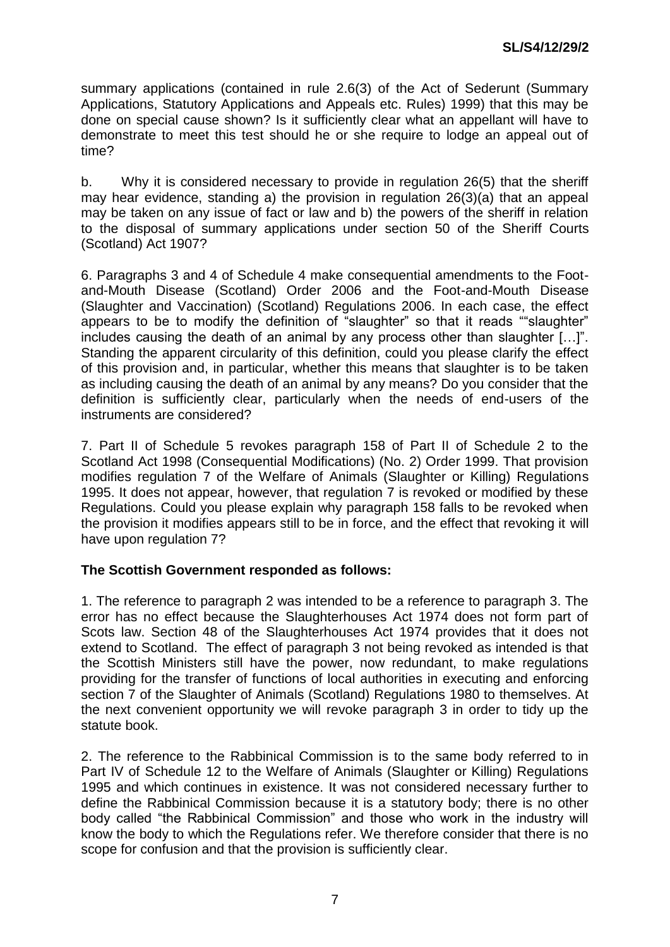summary applications (contained in rule 2.6(3) of the Act of Sederunt (Summary Applications, Statutory Applications and Appeals etc. Rules) 1999) that this may be done on special cause shown? Is it sufficiently clear what an appellant will have to demonstrate to meet this test should he or she require to lodge an appeal out of time?

b. Why it is considered necessary to provide in regulation 26(5) that the sheriff may hear evidence, standing a) the provision in regulation 26(3)(a) that an appeal may be taken on any issue of fact or law and b) the powers of the sheriff in relation to the disposal of summary applications under section 50 of the Sheriff Courts (Scotland) Act 1907?

6. Paragraphs 3 and 4 of Schedule 4 make consequential amendments to the Footand-Mouth Disease (Scotland) Order 2006 and the Foot-and-Mouth Disease (Slaughter and Vaccination) (Scotland) Regulations 2006. In each case, the effect appears to be to modify the definition of "slaughter" so that it reads ""slaughter" includes causing the death of an animal by any process other than slaughter […]". Standing the apparent circularity of this definition, could you please clarify the effect of this provision and, in particular, whether this means that slaughter is to be taken as including causing the death of an animal by any means? Do you consider that the definition is sufficiently clear, particularly when the needs of end-users of the instruments are considered?

7. Part II of Schedule 5 revokes paragraph 158 of Part II of Schedule 2 to the Scotland Act 1998 (Consequential Modifications) (No. 2) Order 1999. That provision modifies regulation 7 of the Welfare of Animals (Slaughter or Killing) Regulations 1995. It does not appear, however, that regulation 7 is revoked or modified by these Regulations. Could you please explain why paragraph 158 falls to be revoked when the provision it modifies appears still to be in force, and the effect that revoking it will have upon regulation 7?

### **The Scottish Government responded as follows:**

1. The reference to paragraph 2 was intended to be a reference to paragraph 3. The error has no effect because the Slaughterhouses Act 1974 does not form part of Scots law. Section 48 of the Slaughterhouses Act 1974 provides that it does not extend to Scotland. The effect of paragraph 3 not being revoked as intended is that the Scottish Ministers still have the power, now redundant, to make regulations providing for the transfer of functions of local authorities in executing and enforcing section 7 of the Slaughter of Animals (Scotland) Regulations 1980 to themselves. At the next convenient opportunity we will revoke paragraph 3 in order to tidy up the statute book.

2. The reference to the Rabbinical Commission is to the same body referred to in Part IV of Schedule 12 to the Welfare of Animals (Slaughter or Killing) Regulations 1995 and which continues in existence. It was not considered necessary further to define the Rabbinical Commission because it is a statutory body; there is no other body called "the Rabbinical Commission" and those who work in the industry will know the body to which the Regulations refer. We therefore consider that there is no scope for confusion and that the provision is sufficiently clear.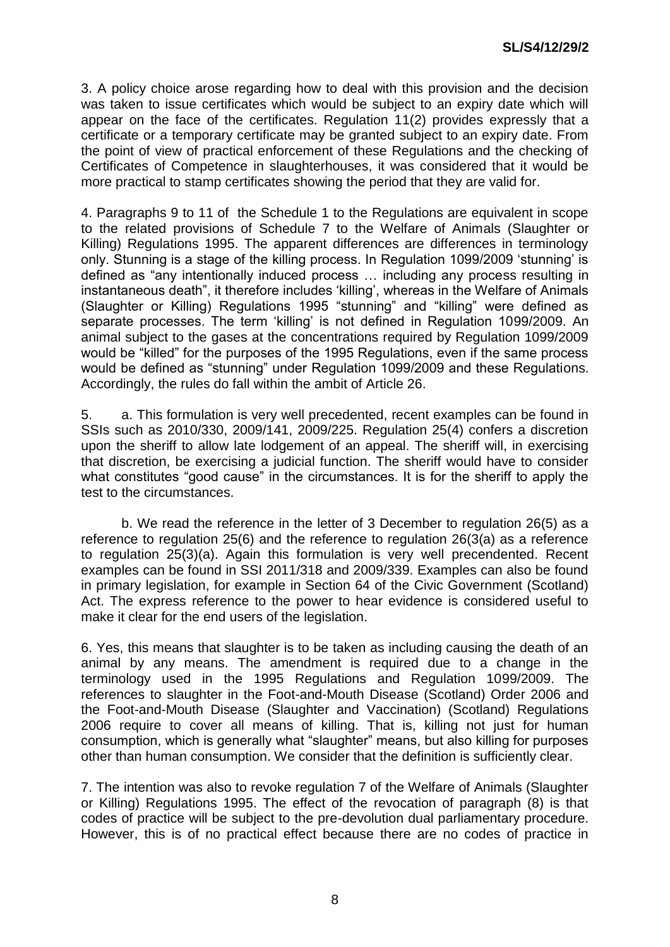3. A policy choice arose regarding how to deal with this provision and the decision was taken to issue certificates which would be subject to an expiry date which will appear on the face of the certificates. Regulation 11(2) provides expressly that a certificate or a temporary certificate may be granted subject to an expiry date. From the point of view of practical enforcement of these Regulations and the checking of Certificates of Competence in slaughterhouses, it was considered that it would be more practical to stamp certificates showing the period that they are valid for.

4. Paragraphs 9 to 11 of the Schedule 1 to the Regulations are equivalent in scope to the related provisions of Schedule 7 to the Welfare of Animals (Slaughter or Killing) Regulations 1995. The apparent differences are differences in terminology only. Stunning is a stage of the killing process. In Regulation 1099/2009 'stunning' is defined as "any intentionally induced process … including any process resulting in instantaneous death", it therefore includes 'killing', whereas in the Welfare of Animals (Slaughter or Killing) Regulations 1995 "stunning" and "killing" were defined as separate processes. The term 'killing' is not defined in Regulation 1099/2009. An animal subject to the gases at the concentrations required by Regulation 1099/2009 would be "killed" for the purposes of the 1995 Regulations, even if the same process would be defined as "stunning" under Regulation 1099/2009 and these Regulations. Accordingly, the rules do fall within the ambit of Article 26.

5. a. This formulation is very well precedented, recent examples can be found in SSIs such as 2010/330, 2009/141, 2009/225. Regulation 25(4) confers a discretion upon the sheriff to allow late lodgement of an appeal. The sheriff will, in exercising that discretion, be exercising a judicial function. The sheriff would have to consider what constitutes "good cause" in the circumstances. It is for the sheriff to apply the test to the circumstances.

b. We read the reference in the letter of 3 December to regulation 26(5) as a reference to regulation 25(6) and the reference to regulation 26(3(a) as a reference to regulation 25(3)(a). Again this formulation is very well precendented. Recent examples can be found in SSI 2011/318 and 2009/339. Examples can also be found in primary legislation, for example in Section 64 of the Civic Government (Scotland) Act. The express reference to the power to hear evidence is considered useful to make it clear for the end users of the legislation.

6. Yes, this means that slaughter is to be taken as including causing the death of an animal by any means. The amendment is required due to a change in the terminology used in the 1995 Regulations and Regulation 1099/2009. The references to slaughter in the Foot-and-Mouth Disease (Scotland) Order 2006 and the Foot-and-Mouth Disease (Slaughter and Vaccination) (Scotland) Regulations 2006 require to cover all means of killing. That is, killing not just for human consumption, which is generally what "slaughter" means, but also killing for purposes other than human consumption. We consider that the definition is sufficiently clear.

7. The intention was also to revoke regulation 7 of the Welfare of Animals (Slaughter or Killing) Regulations 1995. The effect of the revocation of paragraph (8) is that codes of practice will be subject to the pre-devolution dual parliamentary procedure. However, this is of no practical effect because there are no codes of practice in